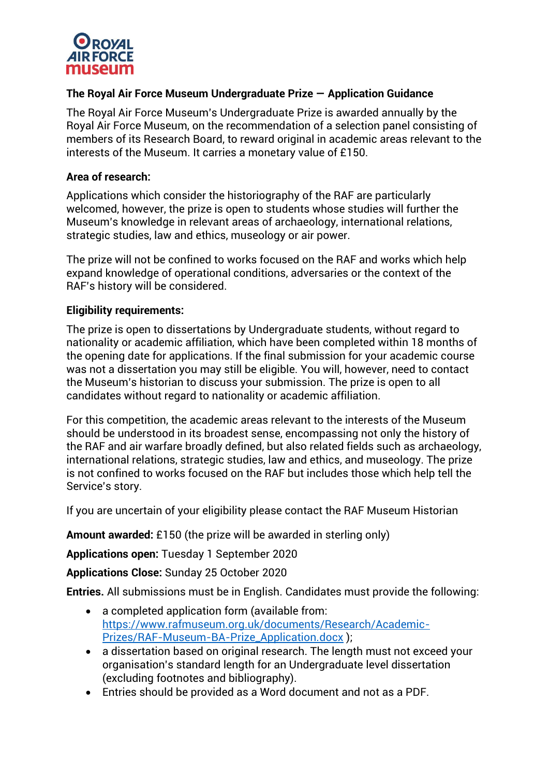

# **The Royal Air Force Museum Undergraduate Prize — Application Guidance**

The Royal Air Force Museum's Undergraduate Prize is awarded annually by the Royal Air Force Museum, on the recommendation of a selection panel consisting of members of its Research Board, to reward original in academic areas relevant to the interests of the Museum. It carries a monetary value of £150.

### **Area of research:**

Applications which consider the historiography of the RAF are particularly welcomed, however, the prize is open to students whose studies will further the Museum's knowledge in relevant areas of archaeology, international relations, strategic studies, law and ethics, museology or air power.

The prize will not be confined to works focused on the RAF and works which help expand knowledge of operational conditions, adversaries or the context of the RAF's history will be considered.

### **Eligibility requirements:**

The prize is open to dissertations by Undergraduate students, without regard to nationality or academic affiliation, which have been completed within 18 months of the opening date for applications. If the final submission for your academic course was not a dissertation you may still be eligible. You will, however, need to contact the Museum's historian to discuss your submission. The prize is open to all candidates without regard to nationality or academic affiliation.

For this competition, the academic areas relevant to the interests of the Museum should be understood in its broadest sense, encompassing not only the history of the RAF and air warfare broadly defined, but also related fields such as archaeology, international relations, strategic studies, law and ethics, and museology. The prize is not confined to works focused on the RAF but includes those which help tell the Service's story.

If you are uncertain of your eligibility please contact the RAF Museum Historian

**Amount awarded:** £150 (the prize will be awarded in sterling only)

**Applications open:** Tuesday 1 September 2020

**Applications Close:** Sunday 25 October 2020

**Entries.** All submissions must be in English. Candidates must provide the following:

- a completed application form (available from: [https://www.rafmuseum.org.uk/documents/Research/Academic-](https://www.rafmuseum.org.uk/documents/Research/Academic-Prizes/RAF-Museum-BA-Prize_Application.docx)[Prizes/RAF-Museum-BA-Prize\\_Application.docx](https://www.rafmuseum.org.uk/documents/Research/Academic-Prizes/RAF-Museum-BA-Prize_Application.docx) );
- a dissertation based on original research. The length must not exceed your organisation's standard length for an Undergraduate level dissertation (excluding footnotes and bibliography).
- Entries should be provided as a Word document and not as a PDF.